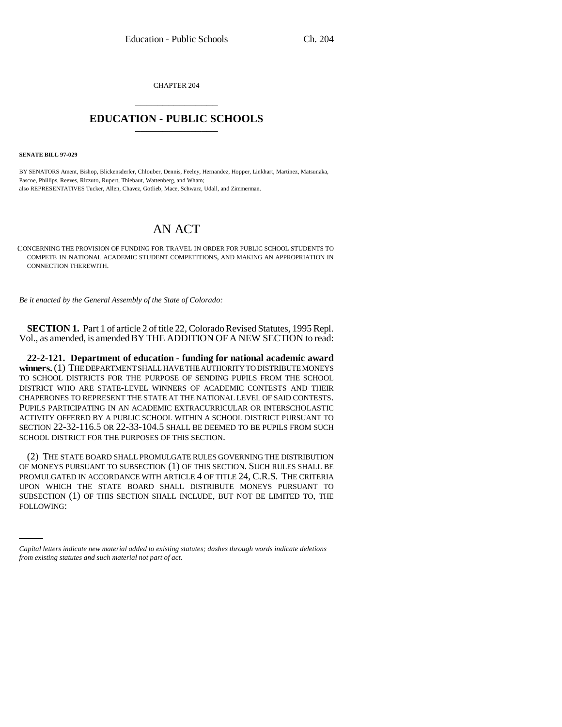CHAPTER 204 \_\_\_\_\_\_\_\_\_\_\_\_\_\_\_

## **EDUCATION - PUBLIC SCHOOLS** \_\_\_\_\_\_\_\_\_\_\_\_\_\_\_

**SENATE BILL 97-029**

BY SENATORS Ament, Bishop, Blickensderfer, Chlouber, Dennis, Feeley, Hernandez, Hopper, Linkhart, Martinez, Matsunaka, Pascoe, Phillips, Reeves, Rizzuto, Rupert, Thiebaut, Wattenberg, and Wham; also REPRESENTATIVES Tucker, Allen, Chavez, Gotlieb, Mace, Schwarz, Udall, and Zimmerman.

## AN ACT

CONCERNING THE PROVISION OF FUNDING FOR TRAVEL IN ORDER FOR PUBLIC SCHOOL STUDENTS TO COMPETE IN NATIONAL ACADEMIC STUDENT COMPETITIONS, AND MAKING AN APPROPRIATION IN CONNECTION THEREWITH.

*Be it enacted by the General Assembly of the State of Colorado:*

**SECTION 1.** Part 1 of article 2 of title 22, Colorado Revised Statutes, 1995 Repl. Vol., as amended, is amended BY THE ADDITION OF A NEW SECTION to read:

**22-2-121. Department of education - funding for national academic award winners.** (1) THE DEPARTMENT SHALL HAVE THE AUTHORITY TO DISTRIBUTE MONEYS TO SCHOOL DISTRICTS FOR THE PURPOSE OF SENDING PUPILS FROM THE SCHOOL DISTRICT WHO ARE STATE-LEVEL WINNERS OF ACADEMIC CONTESTS AND THEIR CHAPERONES TO REPRESENT THE STATE AT THE NATIONAL LEVEL OF SAID CONTESTS. PUPILS PARTICIPATING IN AN ACADEMIC EXTRACURRICULAR OR INTERSCHOLASTIC ACTIVITY OFFERED BY A PUBLIC SCHOOL WITHIN A SCHOOL DISTRICT PURSUANT TO SECTION 22-32-116.5 OR 22-33-104.5 SHALL BE DEEMED TO BE PUPILS FROM SUCH SCHOOL DISTRICT FOR THE PURPOSES OF THIS SECTION.

UPON WHICH THE STATE BOAKD SHALL DISTRIBUTE MONEYS PURSUANT TO<br>SUBSECTION (1) OF THIS SECTION SHALL INCLUDE, BUT NOT BE LIMITED TO, THE (2) THE STATE BOARD SHALL PROMULGATE RULES GOVERNING THE DISTRIBUTION OF MONEYS PURSUANT TO SUBSECTION (1) OF THIS SECTION. SUCH RULES SHALL BE PROMULGATED IN ACCORDANCE WITH ARTICLE 4 OF TITLE 24, C.R.S. THE CRITERIA UPON WHICH THE STATE BOARD SHALL DISTRIBUTE MONEYS PURSUANT TO FOLLOWING:

*Capital letters indicate new material added to existing statutes; dashes through words indicate deletions from existing statutes and such material not part of act.*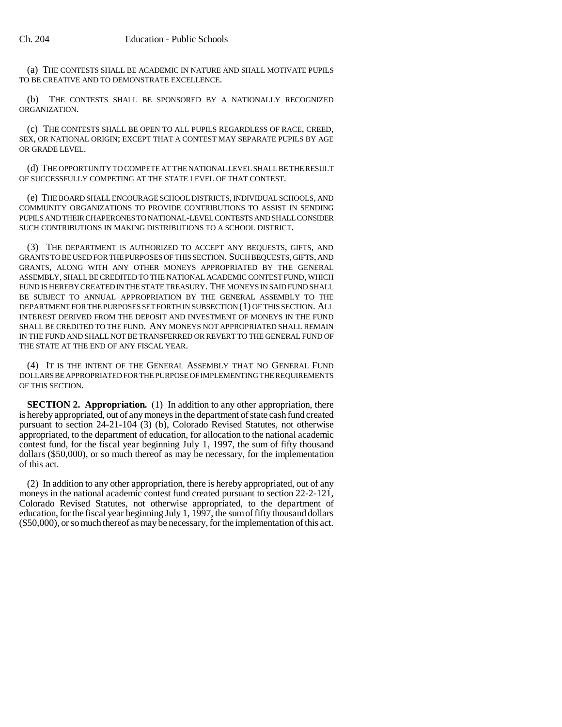(a) THE CONTESTS SHALL BE ACADEMIC IN NATURE AND SHALL MOTIVATE PUPILS TO BE CREATIVE AND TO DEMONSTRATE EXCELLENCE.

(b) THE CONTESTS SHALL BE SPONSORED BY A NATIONALLY RECOGNIZED ORGANIZATION.

(c) THE CONTESTS SHALL BE OPEN TO ALL PUPILS REGARDLESS OF RACE, CREED, SEX, OR NATIONAL ORIGIN; EXCEPT THAT A CONTEST MAY SEPARATE PUPILS BY AGE OR GRADE LEVEL.

(d) THE OPPORTUNITY TO COMPETE AT THE NATIONAL LEVEL SHALL BE THE RESULT OF SUCCESSFULLY COMPETING AT THE STATE LEVEL OF THAT CONTEST.

(e) THE BOARD SHALL ENCOURAGE SCHOOL DISTRICTS, INDIVIDUAL SCHOOLS, AND COMMUNITY ORGANIZATIONS TO PROVIDE CONTRIBUTIONS TO ASSIST IN SENDING PUPILS AND THEIR CHAPERONES TO NATIONAL-LEVEL CONTESTS AND SHALL CONSIDER SUCH CONTRIBUTIONS IN MAKING DISTRIBUTIONS TO A SCHOOL DISTRICT.

(3) THE DEPARTMENT IS AUTHORIZED TO ACCEPT ANY BEQUESTS, GIFTS, AND GRANTS TO BE USED FOR THE PURPOSES OF THIS SECTION. SUCH BEQUESTS, GIFTS, AND GRANTS, ALONG WITH ANY OTHER MONEYS APPROPRIATED BY THE GENERAL ASSEMBLY, SHALL BE CREDITED TO THE NATIONAL ACADEMIC CONTEST FUND, WHICH FUND IS HEREBY CREATED IN THE STATE TREASURY. THE MONEYS IN SAID FUND SHALL BE SUBJECT TO ANNUAL APPROPRIATION BY THE GENERAL ASSEMBLY TO THE DEPARTMENT FOR THE PURPOSES SET FORTH IN SUBSECTION (1) OF THIS SECTION. ALL INTEREST DERIVED FROM THE DEPOSIT AND INVESTMENT OF MONEYS IN THE FUND SHALL BE CREDITED TO THE FUND. ANY MONEYS NOT APPROPRIATED SHALL REMAIN IN THE FUND AND SHALL NOT BE TRANSFERRED OR REVERT TO THE GENERAL FUND OF THE STATE AT THE END OF ANY FISCAL YEAR.

(4) IT IS THE INTENT OF THE GENERAL ASSEMBLY THAT NO GENERAL FUND DOLLARS BE APPROPRIATED FOR THE PURPOSE OF IMPLEMENTING THE REQUIREMENTS OF THIS SECTION.

**SECTION 2. Appropriation.** (1) In addition to any other appropriation, there is hereby appropriated, out of any moneys in the department of state cash fund created pursuant to section 24-21-104 (3) (b), Colorado Revised Statutes, not otherwise appropriated, to the department of education, for allocation to the national academic contest fund, for the fiscal year beginning July 1, 1997, the sum of fifty thousand dollars (\$50,000), or so much thereof as may be necessary, for the implementation of this act.

(2) In addition to any other appropriation, there is hereby appropriated, out of any moneys in the national academic contest fund created pursuant to section 22-2-121, Colorado Revised Statutes, not otherwise appropriated, to the department of education, for the fiscal year beginning July 1,  $1997$ , the sum of fifty thousand dollars (\$50,000), or so much thereof as may be necessary, for the implementation of this act.